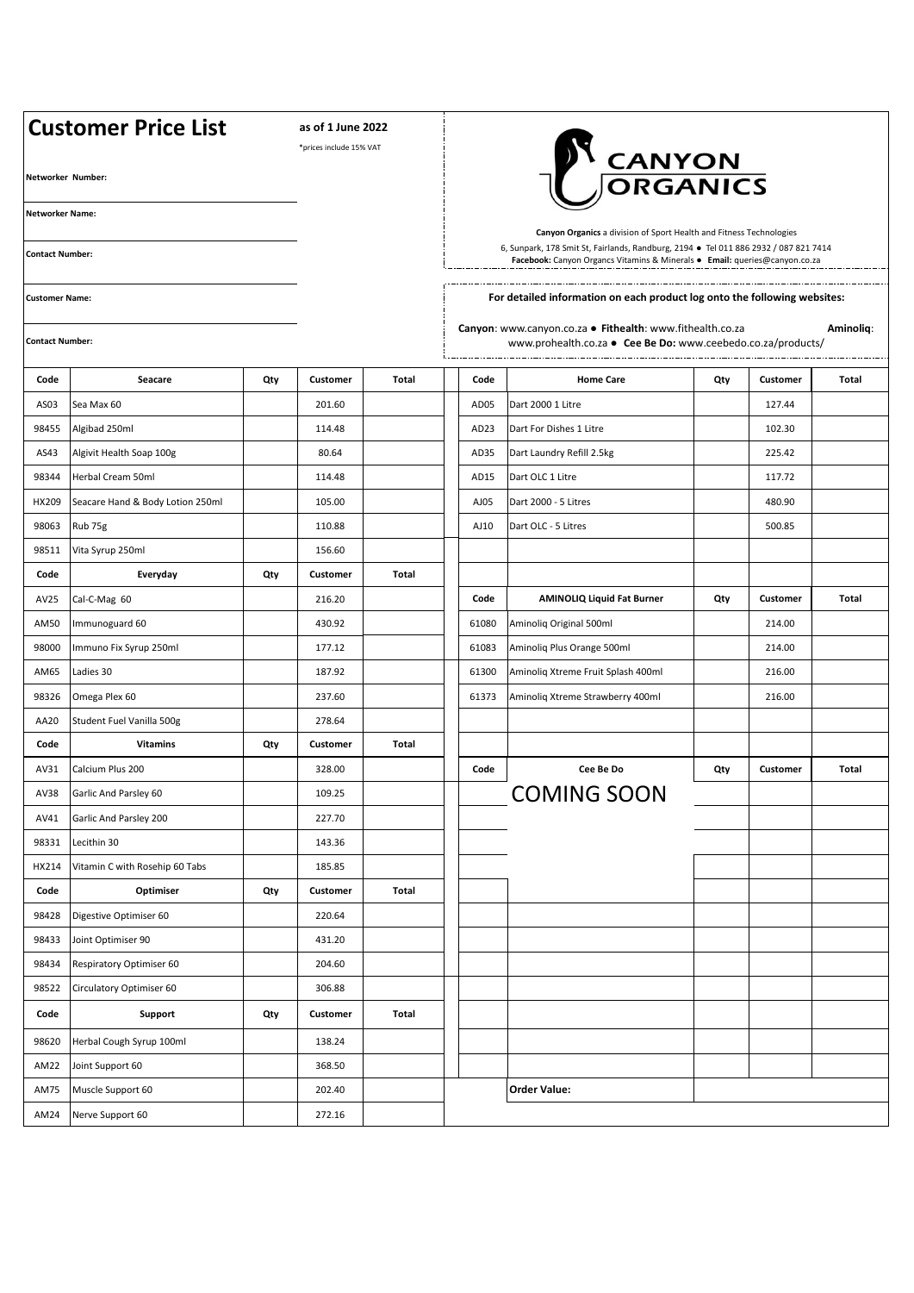| <b>Customer Price List</b> |                                  |     | as of 1 June 2022<br>*prices include 15% VAT |              |  |                                                                                                                                                                                                                                           |                                    |     |          |       |  |  |
|----------------------------|----------------------------------|-----|----------------------------------------------|--------------|--|-------------------------------------------------------------------------------------------------------------------------------------------------------------------------------------------------------------------------------------------|------------------------------------|-----|----------|-------|--|--|
| Networker Number:          |                                  |     |                                              |              |  | <b>T</b> CANYON<br>JORGANICS                                                                                                                                                                                                              |                                    |     |          |       |  |  |
| <b>Networker Name:</b>     |                                  |     |                                              |              |  |                                                                                                                                                                                                                                           |                                    |     |          |       |  |  |
| <b>Contact Number:</b>     |                                  |     |                                              |              |  | Canyon Organics a division of Sport Health and Fitness Technologies<br>6, Sunpark, 178 Smit St, Fairlands, Randburg, 2194 · Tel 011 886 2932 / 087 821 7414<br>Facebook: Canyon Organcs Vitamins & Minerals . Email: queries@canyon.co.za |                                    |     |          |       |  |  |
| <b>Customer Name:</b>      |                                  |     |                                              |              |  | For detailed information on each product log onto the following websites:                                                                                                                                                                 |                                    |     |          |       |  |  |
| <b>Contact Number:</b>     |                                  |     |                                              |              |  | Canyon: www.canyon.co.za . Fithealth: www.fithealth.co.za<br>Aminoliq:<br>www.prohealth.co.za • Cee Be Do: www.ceebedo.co.za/products/                                                                                                    |                                    |     |          |       |  |  |
| Code                       | Seacare                          | Qty | Customer                                     | Total        |  | Code                                                                                                                                                                                                                                      | <b>Home Care</b>                   | Qty | Customer | Total |  |  |
| AS03                       | Sea Max 60                       |     | 201.60                                       |              |  | AD05                                                                                                                                                                                                                                      | Dart 2000 1 Litre                  |     | 127.44   |       |  |  |
| 98455                      | Algibad 250ml                    |     | 114.48                                       |              |  | AD <sub>23</sub>                                                                                                                                                                                                                          | Dart For Dishes 1 Litre            |     | 102.30   |       |  |  |
| AS43                       | Algivit Health Soap 100g         |     | 80.64                                        |              |  | AD35                                                                                                                                                                                                                                      | Dart Laundry Refill 2.5kg          |     | 225.42   |       |  |  |
| 98344                      | Herbal Cream 50ml                |     | 114.48                                       |              |  | AD15                                                                                                                                                                                                                                      | Dart OLC 1 Litre                   |     | 117.72   |       |  |  |
| HX209                      | Seacare Hand & Body Lotion 250ml |     | 105.00                                       |              |  | AJ05                                                                                                                                                                                                                                      | Dart 2000 - 5 Litres               |     | 480.90   |       |  |  |
| 98063                      | Rub 75g                          |     | 110.88                                       |              |  | AJ10                                                                                                                                                                                                                                      | Dart OLC - 5 Litres                |     | 500.85   |       |  |  |
| 98511                      | Vita Syrup 250ml                 |     | 156.60                                       |              |  |                                                                                                                                                                                                                                           |                                    |     |          |       |  |  |
| Code                       | Everyday                         | Qty | Customer                                     | Total        |  |                                                                                                                                                                                                                                           |                                    |     |          |       |  |  |
| AV25                       | Cal-C-Mag 60                     |     | 216.20                                       |              |  | Code                                                                                                                                                                                                                                      | <b>AMINOLIQ Liquid Fat Burner</b>  | Qty | Customer | Total |  |  |
| AM50                       | Immunoguard 60                   |     | 430.92                                       |              |  | 61080                                                                                                                                                                                                                                     | Aminoliq Original 500ml            |     | 214.00   |       |  |  |
| 98000                      | Immuno Fix Syrup 250ml           |     | 177.12                                       |              |  | 61083                                                                                                                                                                                                                                     | Aminoliq Plus Orange 500ml         |     | 214.00   |       |  |  |
| AM65                       | Ladies 30                        |     | 187.92                                       |              |  | 61300                                                                                                                                                                                                                                     | Aminoliq Xtreme Fruit Splash 400ml |     | 216.00   |       |  |  |
| 98326                      | Omega Plex 60                    |     | 237.60                                       |              |  | 61373                                                                                                                                                                                                                                     | Aminoliq Xtreme Strawberry 400ml   |     | 216.00   |       |  |  |
| AA20                       | Student Fuel Vanilla 500g        |     | 278.64                                       |              |  |                                                                                                                                                                                                                                           |                                    |     |          |       |  |  |
| Code                       | <b>Vitamins</b>                  | Qty | Customer                                     | Total        |  |                                                                                                                                                                                                                                           |                                    |     |          |       |  |  |
| AV31                       | Calcium Plus 200                 |     | 328.00                                       |              |  | Code                                                                                                                                                                                                                                      | Cee Be Do                          | Qty | Customer | Total |  |  |
| AV38                       | Garlic And Parsley 60            |     | 109.25                                       |              |  |                                                                                                                                                                                                                                           | <b>COMING SOON</b>                 |     |          |       |  |  |
| AV41                       | Garlic And Parsley 200           |     | 227.70                                       |              |  |                                                                                                                                                                                                                                           |                                    |     |          |       |  |  |
| 98331                      | Lecithin 30                      |     | 143.36                                       |              |  |                                                                                                                                                                                                                                           |                                    |     |          |       |  |  |
| HX214                      | Vitamin C with Rosehip 60 Tabs   |     | 185.85                                       |              |  |                                                                                                                                                                                                                                           |                                    |     |          |       |  |  |
| Code                       | Optimiser                        | Qty | Customer                                     | <b>Total</b> |  |                                                                                                                                                                                                                                           |                                    |     |          |       |  |  |
| 98428                      | Digestive Optimiser 60           |     | 220.64                                       |              |  |                                                                                                                                                                                                                                           |                                    |     |          |       |  |  |
| 98433                      | Joint Optimiser 90               |     | 431.20                                       |              |  |                                                                                                                                                                                                                                           |                                    |     |          |       |  |  |
| 98434                      | Respiratory Optimiser 60         |     | 204.60                                       |              |  |                                                                                                                                                                                                                                           |                                    |     |          |       |  |  |
| 98522                      | Circulatory Optimiser 60         |     | 306.88                                       |              |  |                                                                                                                                                                                                                                           |                                    |     |          |       |  |  |
| Code                       | Support                          | Qty | Customer                                     | <b>Total</b> |  |                                                                                                                                                                                                                                           |                                    |     |          |       |  |  |
| 98620                      | Herbal Cough Syrup 100ml         |     | 138.24                                       |              |  |                                                                                                                                                                                                                                           |                                    |     |          |       |  |  |
| AM22                       | Joint Support 60                 |     | 368.50                                       |              |  |                                                                                                                                                                                                                                           |                                    |     |          |       |  |  |
| AM75                       | Muscle Support 60                |     | 202.40                                       |              |  |                                                                                                                                                                                                                                           | <b>Order Value:</b>                |     |          |       |  |  |
| AM24                       | Nerve Support 60                 |     | 272.16                                       |              |  |                                                                                                                                                                                                                                           |                                    |     |          |       |  |  |